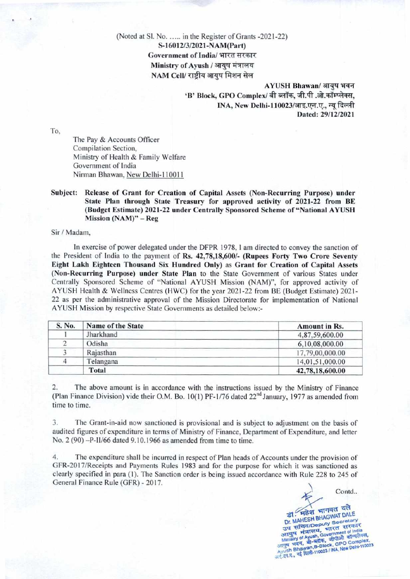## (Noted at Sl. No. ..... in the Register of Grants -2021-22) **S-16012/3/2021-NAM(Part)**  Government of India/ भारत सरकार  $Ministry of Ayush / आयुष मंत्रालय$ NAM Cell/ राष्टीय आयुष मिशन सेल

AYUSH Bhawan/ आयुष भवन 'B' Block, GPO Complex/ बी ब्लॉक, जी.पी .ओ.कॉम्प्लेक्स, **INA, New Delhi-110023/आइ.एन.ए., न्यू दिल्ली Dated: 29/12/2021** 

To,

The Pay & Accounts Officer Compilation Section, Ministry of Health & Family Welfare Government of India Nirman Bhawan, New Delhi-110011

#### Subject: Release of Grant for Creation of Capital Assets (Non**-Recurring** Purpose) **under State Plan through State** Treasuiy for approved activity of 2021-22 **from BE (Budget Estimate) 2021-22 under Centrally Sponsored Scheme of "National AYUSH Mission** (NAM)" — **Reg**

Sir / Madam,

In exercise of power delegated under the DFPR 1978, 1 am directed to convey the sanction of the President of India to the payment of **Rs. 42,78,18,600/- (Rupees Forty Two Crore Seventy Eight Lakh Eighteen Thousand Six Hundred Only) as Grant for Creation of Capital Assets (Non-Recurring Purpose) under State Plan** to the State Government of various States under Centrally Sponsored Scheme of "National AYUSH Mission (NAM)", for approved activity of AYUSH Health & Wellness Centres (HWC) for the year 2021-22 from BE (Budget Estimate) 2021-22 as per the administrative approval of the Mission Directorate for implementation of National AYUSH Mission by respective State Governments as detailed below:-

| S. No. | Name of the State | <b>Amount in Rs.</b> |
|--------|-------------------|----------------------|
|        | Jharkhand         | 4,87,59,600.00       |
|        | Odisha            | 6,10,08,000.00       |
|        | Rajasthan         | 17,79,00,000.00      |
|        | Telangana         | 14,01,51,000.00      |
|        | Total             | 42,78,18,600.00      |

2. The above amount is in accordance with the instructions issued by the Ministry of Finance (Plan Finance Division) vide their O.M. Bo. 10(1) PF-1/76 dated  $22<sup>nd</sup>$  January, 1977 as amended from time to time.

3. The Grant-in-aid now sanctioned is provisional and is subject to adjustment on the basis of audited figures of expenditure in terms of Ministry of Finance, Department of Expenditure, and letter No. 2 (90) -P-II/66 dated 9.10.1966 as amended from time to time.

4. The expenditure shall be incurred in respect of Plan heads of Accounts under the provision of GFR-20 17/Receipts and Payments Rules 1983 and for the purpose for which it was sanctioned as clearly specified in para (1). The Sanction order is being issued accordance with Rule 228 to 245 of General Finance Rule **(GFR) - 2017.** 

**Contd..**  SH BHAGWAT DALL *Frear भागवत दले* **Deputy Secretary** nt O **T DALE**<br>ccretary<br>| सरकार<br>|ent of India<br>ओ कॉम्पलेक्स,<br>|PO Complex,<br>|PO Complex,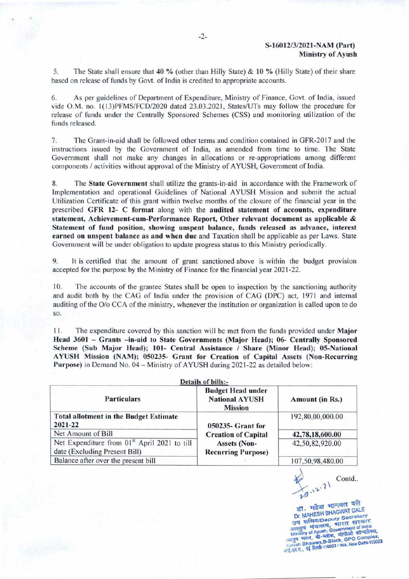**5. The State shall ensure that 40 % (other than Hilly State)** & **10** % (Hilly State) of their share based on release of funds by Govt. of India is credited to appropriate accounts.

6. As per guidelines of Department of Expenditure, Ministry of Finance, Govt. of India, issued vide O.M. no. 1(13)PFMS/FCD/2020 dated 23.03.2021, States/UTs may follow the procedure for release of funds under the Centrally Sponsored Schemes (CSS) and monitoring utilization of the funds released.

7. The Grant-in-aid shall be followed other terms and condition contained in GFR-2017 and the instructions issued by the Government of India, as amended from time to time. The State Government shall not make any changes in allocations or re-appropriations among different components / activities without approval of the Ministry of AYUSH, Government of India.

8. The **State Government** shall utilize the grants-in-aid in accordance with the Framework of Implementation and operational Guidelines of National AYUSH Mission and submit the actual Utilization Certificate of this grant within twelve months of the closure of the financial year in the **prescribed GFR 12- C format** along with the **audited statement of accounts, expenditure statement, Achievement-cum-Performance Report, Other relevant document as applicable & Statement of fund position, showing unspent balance, funds released as advance, interest earned on unspent balance as and when due** and Taxation shall be applicable as per Laws. State Government will be under obligation to update progress status to this Ministry periodically.

9. It is certified that the amount of grant sanctioned above is within the budget provision accepted for the purpose by the Ministry of Finance for the financial year 2021-22.

10. The accounts of the grantee States shall be open to inspection by the sanctioning authority and audit both by the CAG of India under the provision of CAG (DPC) act, 1971 and internal auditing of the O/o CCA of the ministry, whenever the institution or organization is called upon to do so.

11. The expenditure covered by this sanction will be met from the funds provided under Major Head 3601 — **Grants —in-aid to State Governments (Major Head); 06- Centrally Sponsored Scheme (Sub Major Head); 101- Central Assistance** / **Share (Minor Head); 05-National AYUSH Mission (NAM); 050235- Grant for Creation of Capital Assets (Non-Recurring Purpose)** in Demand No. 04— Ministry of AYUSH during 202 1-22 as detailed below:

| <b>Details of bills:-</b>                                                                 |                                                                                |                  |  |  |  |
|-------------------------------------------------------------------------------------------|--------------------------------------------------------------------------------|------------------|--|--|--|
| <b>Particulars</b>                                                                        | <b>Budget Head under</b><br><b>National AYUSH</b><br><b>Mission</b>            | Amount (in Rs.)  |  |  |  |
| <b>Total allotment in the Budget Estimate</b><br>2021-22                                  | 050235- Grant for                                                              | 192,80,00,000.00 |  |  |  |
| Net Amount of Bill                                                                        | <b>Creation of Capital</b><br><b>Assets (Non-</b><br><b>Recurring Purpose)</b> | 42,78,18,600.00  |  |  |  |
| Net Expenditure from 01 <sup>st</sup> April 2021 to till<br>date (Excluding Present Bill) |                                                                                | 42,50,82,920.00  |  |  |  |
| Balance after over the present bill                                                       |                                                                                |                  |  |  |  |

Contd..  $12.71$ 

डी. मुहेश भागवत २२१<br>Dr. MAHESH BHAGWAT DALE डी. महेश भागवत दले **34 Hida/Deputy Secretary** उप सामनगर Becretary<br>अायुब मंत्रालय, भारत सरकार<br>Ministry of Ayush, Government of India<br>आयुब भवन, बी-ब्लॉक, जीपीओ कॉम्पलेक्स, **All Strates Brown Branch**<br>Ayush Bhawan,B-Block, GPO Complex,<br>and *IFI, II*, **Tid Rifti-110023** / INA, New Delhi-110023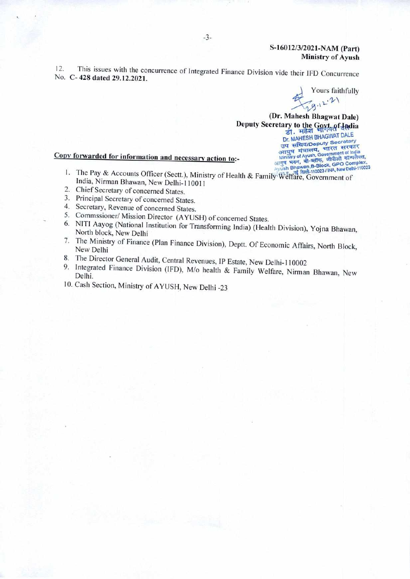### S**-16012/3/2021**-NAM **(Part) Ministry of Ayush**

12. This issues with the concurrence of Integrated Finance Division vide their IFD Concurrence No. C-428 **dated 29.12.2021.** 

Yours faithfully  $79.12.21$ 

**(Dr. Mahesh Bhagwat Dale) Deputy Secretary to the Goyt of Ladia** Dr. MAHESH BHAGWAT DALL उप सचिव/Deputy Secretary

# **Copy forwarded for information and necessary action to:-** Ministry of Ayush, Government of India

- I. The Pay & Accounts Officer (Sectt.), Ministry of Health & Family Welfare, Government of India, Nirman Bhawan, New Delhi-110011
- 2. Chief Secretary of concerned States.
- 3. Principal Secretary of concerned States.
- 4. Secretary, Revenue of concerned States.
- 5. Commssioner/ Mission Director (AYUSH) of concerned States.
- 6. NIT! Aayog (National Institution for Transforming India) (Health Division), Yojna Bhawan, North block, New Delhi
- 7. The Ministry of Finance (Plan Finance Division), Deprt. Of Economic Affairs, North Block, New Delhi
- 8. The Director General Audit, Central Revenues, IP Estate, New Delhi-I 10002
- 9. Integrated Finance Division (IFD), M/o health & Family Welfare, Nirman Bhawan, New Delhi.
- 10. Cash Section, Ministry of AYUSH, New Delhi -23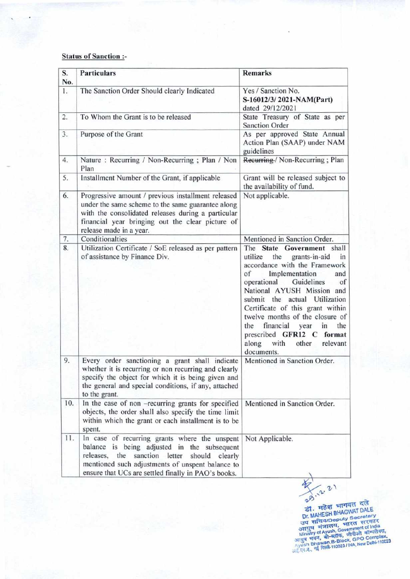### Status of Sanction :-

| S.<br>No. | <b>Particulars</b>                                                                                                                                                                                                                                               | <b>Remarks</b>                                                                                                                                                                                                                                                                                                                                                                                                                |  |
|-----------|------------------------------------------------------------------------------------------------------------------------------------------------------------------------------------------------------------------------------------------------------------------|-------------------------------------------------------------------------------------------------------------------------------------------------------------------------------------------------------------------------------------------------------------------------------------------------------------------------------------------------------------------------------------------------------------------------------|--|
| 1.        | The Sanction Order Should clearly Indicated                                                                                                                                                                                                                      | Yes / Sanction No.<br>S-16012/3/2021-NAM(Part)<br>dated 29/12/2021                                                                                                                                                                                                                                                                                                                                                            |  |
| 2.        | To Whom the Grant is to be released                                                                                                                                                                                                                              | State Treasury of State as per<br>Sanction Order                                                                                                                                                                                                                                                                                                                                                                              |  |
| 3.        | Purpose of the Grant                                                                                                                                                                                                                                             | As per approved State Annual<br>Action Plan (SAAP) under NAM<br>guidelines                                                                                                                                                                                                                                                                                                                                                    |  |
| 4.        | Nature: Recurring / Non-Recurring; Plan / Non<br>Plan                                                                                                                                                                                                            | Recurring-/ Non-Recurring; Plan                                                                                                                                                                                                                                                                                                                                                                                               |  |
| 5.        | Installment Number of the Grant, if applicable                                                                                                                                                                                                                   | Grant will be released subject to<br>the availability of fund.                                                                                                                                                                                                                                                                                                                                                                |  |
| 6.        | Progressive amount / previous installment released<br>under the same scheme to the same guarantee along<br>with the consolidated releases during a particular<br>financial year bringing out the clear picture of<br>release made in a year.                     | Not applicable.                                                                                                                                                                                                                                                                                                                                                                                                               |  |
| 7.        | Conditionalties                                                                                                                                                                                                                                                  | Mentioned in Sanction Order.                                                                                                                                                                                                                                                                                                                                                                                                  |  |
| 8.        | Utilization Certificate / SoE released as per pattern<br>of assistance by Finance Div.                                                                                                                                                                           | The State Government shall<br>the grants-in-aid<br>utilize<br>in<br>accordance with the Framework<br>of<br>Implementation<br>and<br>operational Guidelines<br>of<br>National AYUSH Mission and<br>submit the actual Utilization<br>Certificate of this grant within<br>twelve months of the closure of<br>the financial<br>the<br>year<br>in<br>prescribed GFR12 C format<br>along<br>with<br>other<br>relevant<br>documents. |  |
| 9.        | Every order sanctioning a grant shall indicate<br>whether it is recurring or non recurring and clearly<br>specify the object for which it is being given and<br>the general and special conditions, if any, attached<br>to the grant.                            | Mentioned in Sanction Order.                                                                                                                                                                                                                                                                                                                                                                                                  |  |
| 10.       | In the case of non -recurring grants for specified<br>objects, the order shall also specify the time limit<br>within which the grant or each installment is to be<br>spent.                                                                                      | Mentioned in Sanction Order.                                                                                                                                                                                                                                                                                                                                                                                                  |  |
| 11.       | In case of recurring grants where the unspent<br>balance is being adjusted in the subsequent<br>releases,<br>the sanction letter<br>should<br>clearly<br>mentioned such adjustments of unspent balance to<br>ensure that UCs are settled finally in PAO's books. | Not Applicable.                                                                                                                                                                                                                                                                                                                                                                                                               |  |

ड़ी. महेश भागवत दल<br>Dr. MAHESH BHAGWAT DALE **March Government of India**  $\frac{1}{2}$ भावन, yU भवन, बा-ब्लाफ, GPO Complex.<br>**B-Block, GPO Complex.**